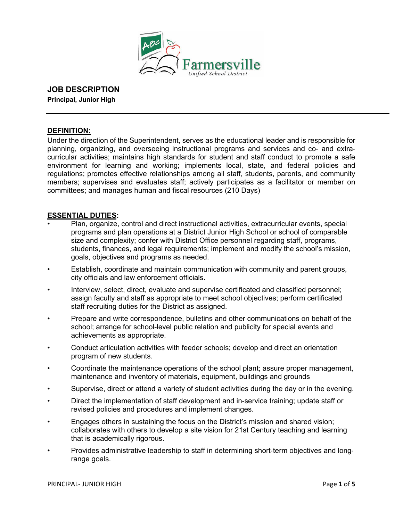

# **JOB DESCRIPTION**

**Principal, Junior High** 

### **DEFINITION:**

Under the direction of the Superintendent, serves as the educational leader and is responsible for planning, organizing, and overseeing instructional programs and services and co- and extracurricular activities; maintains high standards for student and staff conduct to promote a safe environment for learning and working; implements local, state, and federal policies and regulations; promotes effective relationships among all staff, students, parents, and community members; supervises and evaluates staff; actively participates as a facilitator or member on committees; and manages human and fiscal resources (210 Days)

### **ESSENTIAL DUTIES:**

- Plan, organize, control and direct instructional activities, extracurricular events, special programs and plan operations at a District Junior High School or school of comparable size and complexity; confer with District Office personnel regarding staff, programs, students, finances, and legal requirements; implement and modify the school's mission, goals, objectives and programs as needed.
- Establish, coordinate and maintain communication with community and parent groups, city officials and law enforcement officials.
- Interview, select, direct, evaluate and supervise certificated and classified personnel; assign faculty and staff as appropriate to meet school objectives; perform certificated staff recruiting duties for the District as assigned.
- Prepare and write correspondence, bulletins and other communications on behalf of the school; arrange for school-level public relation and publicity for special events and achievements as appropriate.
- Conduct articulation activities with feeder schools; develop and direct an orientation program of new students.
- Coordinate the maintenance operations of the school plant; assure proper management, maintenance and inventory of materials, equipment, buildings and grounds
- Supervise, direct or attend a variety of student activities during the day or in the evening.
- Direct the implementation of staff development and in-service training; update staff or revised policies and procedures and implement changes.
- Engages others in sustaining the focus on the District's mission and shared vision; collaborates with others to develop a site vision for 21st Century teaching and learning that is academically rigorous.
- Provides administrative leadership to staff in determining short-term objectives and longrange goals.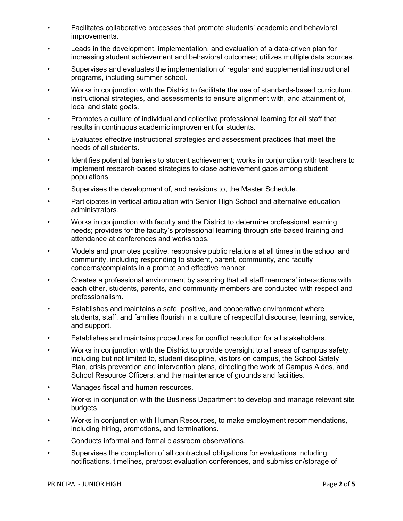- Facilitates collaborative processes that promote students' academic and behavioral improvements.
- Leads in the development, implementation, and evaluation of a data-driven plan for increasing student achievement and behavioral outcomes; utilizes multiple data sources.
- Supervises and evaluates the implementation of regular and supplemental instructional programs, including summer school.
- Works in conjunction with the District to facilitate the use of standards-based curriculum, instructional strategies, and assessments to ensure alignment with, and attainment of, local and state goals.
- Promotes a culture of individual and collective professional learning for all staff that results in continuous academic improvement for students.
- Evaluates effective instructional strategies and assessment practices that meet the needs of all students.
- Identifies potential barriers to student achievement; works in conjunction with teachers to implement research-based strategies to close achievement gaps among student populations.
- Supervises the development of, and revisions to, the Master Schedule.
- Participates in vertical articulation with Senior High School and alternative education administrators.
- Works in conjunction with faculty and the District to determine professional learning needs; provides for the faculty's professional learning through site-based training and attendance at conferences and workshops.
- Models and promotes positive, responsive public relations at all times in the school and community, including responding to student, parent, community, and faculty concerns/complaints in a prompt and effective manner.
- Creates a professional environment by assuring that all staff members' interactions with each other, students, parents, and community members are conducted with respect and professionalism.
- Establishes and maintains a safe, positive, and cooperative environment where students, staff, and families flourish in a culture of respectful discourse, learning, service, and support.
- Establishes and maintains procedures for conflict resolution for all stakeholders.
- Works in conjunction with the District to provide oversight to all areas of campus safety, including but not limited to, student discipline, visitors on campus, the School Safety Plan, crisis prevention and intervention plans, directing the work of Campus Aides, and School Resource Officers, and the maintenance of grounds and facilities.
- Manages fiscal and human resources.
- Works in conjunction with the Business Department to develop and manage relevant site budgets.
- Works in conjunction with Human Resources, to make employment recommendations, including hiring, promotions, and terminations.
- Conducts informal and formal classroom observations.
- Supervises the completion of all contractual obligations for evaluations including notifications, timelines, pre/post evaluation conferences, and submission/storage of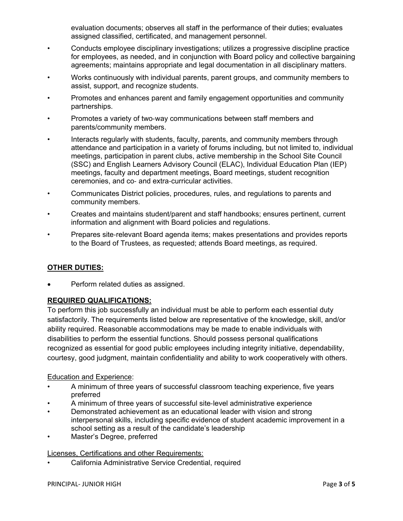evaluation documents; observes all staff in the performance of their duties; evaluates assigned classified, certificated, and management personnel.

- Conducts employee disciplinary investigations; utilizes a progressive discipline practice for employees, as needed, and in conjunction with Board policy and collective bargaining agreements; maintains appropriate and legal documentation in all disciplinary matters.
- Works continuously with individual parents, parent groups, and community members to assist, support, and recognize students.
- Promotes and enhances parent and family engagement opportunities and community partnerships.
- Promotes a variety of two-way communications between staff members and parents/community members.
- Interacts regularly with students, faculty, parents, and community members through attendance and participation in a variety of forums including, but not limited to, individual meetings, participation in parent clubs, active membership in the School Site Council (SSC) and English Learners Advisory Council (ELAC), Individual Education Plan (IEP) meetings, faculty and department meetings, Board meetings, student recognition ceremonies, and co- and extra-curricular activities.
- Communicates District policies, procedures, rules, and regulations to parents and community members.
- Creates and maintains student/parent and staff handbooks; ensures pertinent, current information and alignment with Board policies and regulations.
- Prepares site-relevant Board agenda items; makes presentations and provides reports to the Board of Trustees, as requested; attends Board meetings, as required.

## **OTHER DUTIES:**

Perform related duties as assigned.

## **REQUIRED QUALIFICATIONS:**

To perform this job successfully an individual must be able to perform each essential duty satisfactorily. The requirements listed below are representative of the knowledge, skill, and/or ability required. Reasonable accommodations may be made to enable individuals with disabilities to perform the essential functions. Should possess personal qualifications recognized as essential for good public employees including integrity initiative, dependability, courtesy, good judgment, maintain confidentiality and ability to work cooperatively with others.

## Education and Experience:

- A minimum of three years of successful classroom teaching experience, five years preferred
- A minimum of three years of successful site-level administrative experience
- Demonstrated achievement as an educational leader with vision and strong interpersonal skills, including specific evidence of student academic improvement in a school setting as a result of the candidate's leadership
- Master's Degree, preferred

Licenses, Certifications and other Requirements:

• California Administrative Service Credential, required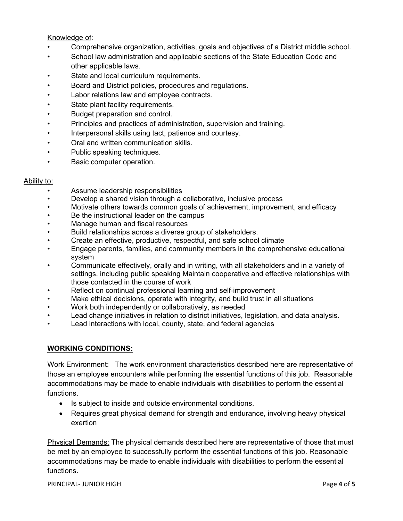#### Knowledge of:

- Comprehensive organization, activities, goals and objectives of a District middle school.
- School law administration and applicable sections of the State Education Code and other applicable laws.
- State and local curriculum requirements.
- Board and District policies, procedures and regulations.
- Labor relations law and employee contracts.
- State plant facility requirements.
- Budget preparation and control.
- Principles and practices of administration, supervision and training.
- Interpersonal skills using tact, patience and courtesy.
- Oral and written communication skills.
- Public speaking techniques.
- Basic computer operation.

#### Ability to:

- Assume leadership responsibilities
- Develop a shared vision through a collaborative, inclusive process
- Motivate others towards common goals of achievement, improvement, and efficacy
- Be the instructional leader on the campus
- Manage human and fiscal resources
- Build relationships across a diverse group of stakeholders.
- Create an effective, productive, respectful, and safe school climate
- Engage parents, families, and community members in the comprehensive educational system
- Communicate effectively, orally and in writing, with all stakeholders and in a variety of settings, including public speaking Maintain cooperative and effective relationships with those contacted in the course of work
- Reflect on continual professional learning and self-improvement
- Make ethical decisions, operate with integrity, and build trust in all situations
- Work both independently or collaboratively, as needed
- Lead change initiatives in relation to district initiatives, legislation, and data analysis.
- Lead interactions with local, county, state, and federal agencies

#### **WORKING CONDITIONS:**

Work Environment: The work environment characteristics described here are representative of those an employee encounters while performing the essential functions of this job. Reasonable accommodations may be made to enable individuals with disabilities to perform the essential functions.

- Is subject to inside and outside environmental conditions.
- Requires great physical demand for strength and endurance, involving heavy physical exertion

Physical Demands: The physical demands described here are representative of those that must be met by an employee to successfully perform the essential functions of this job. Reasonable accommodations may be made to enable individuals with disabilities to perform the essential functions.